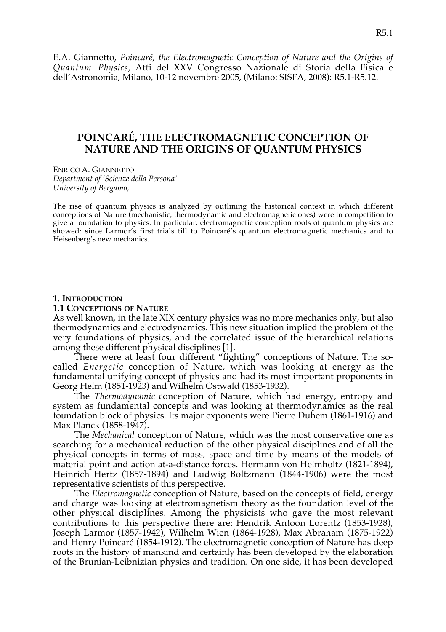E.A. Giannetto, *Poincaré, the Electromagnetic Conception of Nature and the Origins of Quantum Physics*, Atti del XXV Congresso Nazionale di Storia della Fisica e dell'Astronomia, Milano, 10-12 novembre 2005, (Milano: SISFA, 2008): R5.1-R5.12.

# **POINCARÉ, THE ELECTROMAGNETIC CONCEPTION OF NATURE AND THE ORIGINS OF QUANTUM PHYSICS**

ENRICO A. GIANNETTO *Department of 'Scienze della Persona' University of Bergamo,*

The rise of quantum physics is analyzed by outlining the historical context in which different conceptions of Nature (mechanistic, thermodynamic and electromagnetic ones) were in competition to give a foundation to physics. In particular, electromagnetic conception roots of quantum physics are showed: since Larmor's first trials till to Poincaré's quantum electromagnetic mechanics and to Heisenberg's new mechanics.

#### **1. INTRODUCTION**

#### **1.1 CONCEPTIONS OF NATURE**

As well known, in the late XIX century physics was no more mechanics only, but also thermodynamics and electrodynamics. This new situation implied the problem of the very foundations of physics, and the correlated issue of the hierarchical relations among these different physical disciplines [1].

There were at least four different "fighting" conceptions of Nature. The socalled *Energetic* conception of Nature, which was looking at energy as the fundamental unifying concept of physics and had its most important proponents in Georg Helm (1851-1923) and Wilhelm Ostwald (1853-1932).

The *Thermodynamic* conception of Nature, which had energy, entropy and system as fundamental concepts and was looking at thermodynamics as the real foundation block of physics. Its major exponents were Pierre Duhem (1861-1916) and Max Planck (1858-1947).

The *Mechanical* conception of Nature, which was the most conservative one as searching for a mechanical reduction of the other physical disciplines and of all the physical concepts in terms of mass, space and time by means of the models of material point and action at-a-distance forces. Hermann von Helmholtz (1821-1894), Heinrich Hertz (1857-1894) and Ludwig Boltzmann (1844-1906) were the most representative scientists of this perspective.

The *Electromagnetic* conception of Nature, based on the concepts of field, energy and charge was looking at electromagnetism theory as the foundation level of the other physical disciplines. Among the physicists who gave the most relevant contributions to this perspective there are: Hendrik Antoon Lorentz (1853-1928), Joseph Larmor (1857-1942), Wilhelm Wien (1864-1928), Max Abraham (1875-1922) and Henry Poincaré (1854-1912). The electromagnetic conception of Nature has deep roots in the history of mankind and certainly has been developed by the elaboration of the Brunian-Leibnizian physics and tradition. On one side, it has been developed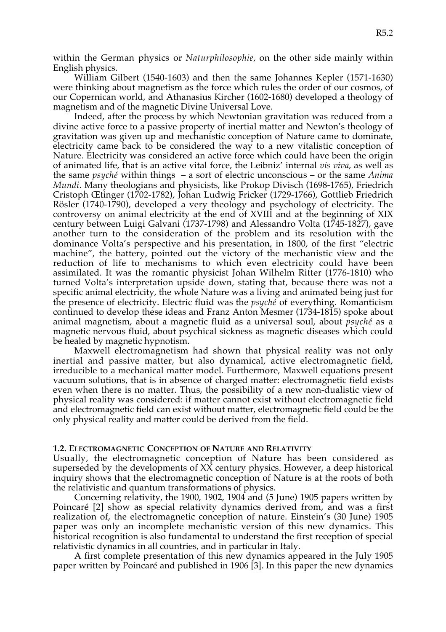within the German physics or *Naturphilosophie,* on the other side mainly within English physics.

William Gilbert (1540-1603) and then the same Johannes Kepler (1571-1630) were thinking about magnetism as the force which rules the order of our cosmos, of our Copernican world, and Athanasius Kircher (1602-1680) developed a theology of magnetism and of the magnetic Divine Universal Love.

Indeed, after the process by which Newtonian gravitation was reduced from a divine active force to a passive property of inertial matter and Newton's theology of gravitation was given up and mechanistic conception of Nature came to dominate, electricity came back to be considered the way to a new vitalistic conception of Nature. Electricity was considered an active force which could have been the origin of animated life, that is an active vital force, the Leibniz' internal *vis viva*, as well as the same *psyché* within things – a sort of electric unconscious – or the same *Anima Mundi*. Many theologians and physicists, like Prokop Divisch (1698-1765), Friedrich Cristoph Œtinger (1702-1782), Johan Ludwig Fricker (1729-1766), Gottlieb Friedrich Rösler (1740-1790), developed a very theology and psychology of electricity. The controversy on animal electricity at the end of XVIII and at the beginning of XIX century between Luigi Galvani (1737-1798) and Alessandro Volta (1745-1827), gave another turn to the consideration of the problem and its resolution with the dominance Volta's perspective and his presentation, in 1800, of the first "electric machine", the battery, pointed out the victory of the mechanistic view and the reduction of life to mechanisms to which even electricity could have been assimilated. It was the romantic physicist Johan Wilhelm Ritter (1776-1810) who turned Volta's interpretation upside down, stating that, because there was not a specific animal electricity, the whole Nature was a living and animated being just for the presence of electricity. Electric fluid was the *psyché* of everything. Romanticism continued to develop these ideas and Franz Anton Mesmer (1734-1815) spoke about animal magnetism, about a magnetic fluid as a universal soul, about *psyché* as a magnetic nervous fluid, about psychical sickness as magnetic diseases which could be healed by magnetic hypnotism.

Maxwell electromagnetism had shown that physical reality was not only inertial and passive matter, but also dynamical, active electromagnetic field, irreducible to a mechanical matter model. Furthermore, Maxwell equations present vacuum solutions, that is in absence of charged matter: electromagnetic field exists even when there is no matter. Thus, the possibility of a new non-dualistic view of physical reality was considered: if matter cannot exist without electromagnetic field and electromagnetic field can exist without matter, electromagnetic field could be the only physical reality and matter could be derived from the field.

### **1.2. ELECTROMAGNETIC CONCEPTION OF NATURE AND RELATIVITY**

Usually, the electromagnetic conception of Nature has been considered as superseded by the developments of XX century physics. However, a deep historical inquiry shows that the electromagnetic conception of Nature is at the roots of both the relativistic and quantum transformations of physics.

Concerning relativity, the 1900, 1902, 1904 and (5 June) 1905 papers written by Poincaré [2] show as special relativity dynamics derived from, and was a first realization of, the electromagnetic conception of nature. Einstein's (30 June) 1905 paper was only an incomplete mechanistic version of this new dynamics. This historical recognition is also fundamental to understand the first reception of special relativistic dynamics in all countries, and in particular in Italy.

A first complete presentation of this new dynamics appeared in the July 1905 paper written by Poincaré and published in 1906 [3]. In this paper the new dynamics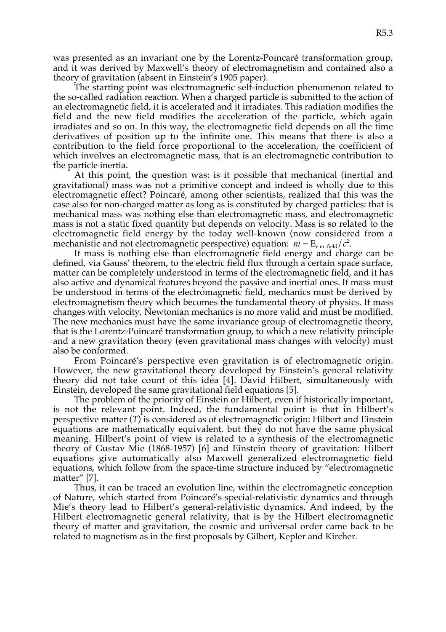was presented as an invariant one by the Lorentz-Poincaré transformation group, and it was derived by Maxwell's theory of electromagnetism and contained also a theory of gravitation (absent in Einstein's 1905 paper).

The starting point was electromagnetic self-induction phenomenon related to the so-called radiation reaction. When a charged particle is submitted to the action of an electromagnetic field, it is accelerated and it irradiates. This radiation modifies the field and the new field modifies the acceleration of the particle, which again irradiates and so on. In this way, the electromagnetic field depends on all the time derivatives of position up to the infinite one. This means that there is also a contribution to the field force proportional to the acceleration, the coefficient of which involves an electromagnetic mass, that is an electromagnetic contribution to the particle inertia.

At this point, the question was: is it possible that mechanical (inertial and gravitational) mass was not a primitive concept and indeed is wholly due to this electromagnetic effect? Poincaré, among other scientists, realized that this was the case also for non-charged matter as long as is constituted by charged particles: that is mechanical mass was nothing else than electromagnetic mass, and electromagnetic mass is not a static fixed quantity but depends on velocity. Mass is so related to the electromagnetic field energy by the today well-known (now considered from a mechanistic and not electromagnetic perspective) equation:  $m = E_{\text{e.m. field}}/c^2$ .

If mass is nothing else than electromagnetic field energy and charge can be defined, via Gauss' theorem, to the electric field flux through a certain space surface, matter can be completely understood in terms of the electromagnetic field, and it has also active and dynamical features beyond the passive and inertial ones. If mass must be understood in terms of the electromagnetic field, mechanics must be derived by electromagnetism theory which becomes the fundamental theory of physics. If mass changes with velocity, Newtonian mechanics is no more valid and must be modified. The new mechanics must have the same invariance group of electromagnetic theory, that is the Lorentz-Poincaré transformation group, to which a new relativity principle and a new gravitation theory (even gravitational mass changes with velocity) must also be conformed.

From Poincaré's perspective even gravitation is of electromagnetic origin. However, the new gravitational theory developed by Einstein's general relativity theory did not take count of this idea [4]. David Hilbert, simultaneously with Einstein, developed the same gravitational field equations [5].

The problem of the priority of Einstein or Hilbert, even if historically important, is not the relevant point. Indeed, the fundamental point is that in Hilbert's perspective matter (*T*) is considered as of electromagnetic origin: Hilbert and Einstein equations are mathematically equivalent, but they do not have the same physical meaning. Hilbert's point of view is related to a synthesis of the electromagnetic theory of Gustav Mie (1868-1957) [6] and Einstein theory of gravitation: Hilbert equations give automatically also Maxwell generalized electromagnetic field equations, which follow from the space-time structure induced by "electromagnetic matter" [7].

Thus, it can be traced an evolution line, within the electromagnetic conception of Nature, which started from Poincaré's special-relativistic dynamics and through Mie's theory lead to Hilbert's general-relativistic dynamics. And indeed, by the Hilbert electromagnetic general relativity, that is by the Hilbert electromagnetic theory of matter and gravitation, the cosmic and universal order came back to be related to magnetism as in the first proposals by Gilbert, Kepler and Kircher.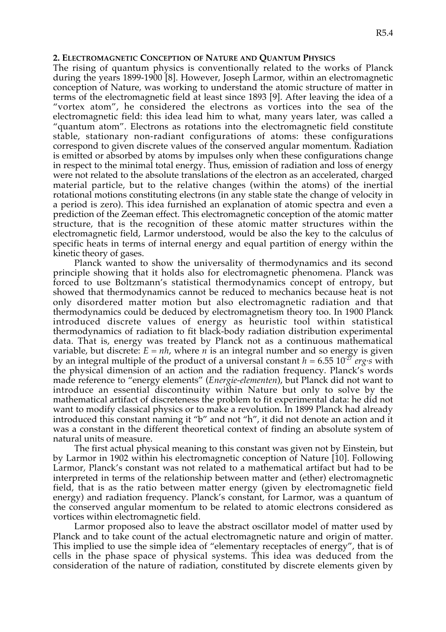The rising of quantum physics is conventionally related to the works of Planck during the years 1899-1900 [8]. However, Joseph Larmor, within an electromagnetic conception of Nature, was working to understand the atomic structure of matter in terms of the electromagnetic field at least since 1893 [9]. After leaving the idea of a "vortex atom", he considered the electrons as vortices into the sea of the electromagnetic field: this idea lead him to what, many years later, was called a "quantum atom". Electrons as rotations into the electromagnetic field constitute stable, stationary non-radiant configurations of atoms: these configurations correspond to given discrete values of the conserved angular momentum. Radiation is emitted or absorbed by atoms by impulses only when these configurations change in respect to the minimal total energy. Thus, emission of radiation and loss of energy were not related to the absolute translations of the electron as an accelerated, charged material particle, but to the relative changes (within the atoms) of the inertial rotational motions constituting electrons (in any stable state the change of velocity in a period is zero). This idea furnished an explanation of atomic spectra and even a prediction of the Zeeman effect. This electromagnetic conception of the atomic matter structure, that is the recognition of these atomic matter structures within the electromagnetic field, Larmor understood, would be also the key to the calculus of specific heats in terms of internal energy and equal partition of energy within the kinetic theory of gases.

Planck wanted to show the universality of thermodynamics and its second principle showing that it holds also for electromagnetic phenomena. Planck was forced to use Boltzmann's statistical thermodynamics concept of entropy, but showed that thermodynamics cannot be reduced to mechanics because heat is not only disordered matter motion but also electromagnetic radiation and that thermodynamics could be deduced by electromagnetism theory too. In 1900 Planck introduced discrete values of energy as heuristic tool within statistical thermodynamics of radiation to fit black-body radiation distribution experimental data. That is, energy was treated by Planck not as a continuous mathematical variable, but discrete:  $E = nh$ , where *n* is an integral number and so energy is given by an integral multiple of the product of a universal constant  $h = 6.55 \times 10^{27} \text{ erg} \cdot \text{s}$  with the physical dimension of an action and the radiation frequency. Planck's words made reference to "energy elements" (*Energie-elementen*), but Planck did not want to introduce an essential discontinuity within Nature but only to solve by the mathematical artifact of discreteness the problem to fit experimental data: he did not want to modify classical physics or to make a revolution. In 1899 Planck had already introduced this constant naming it "b" and not "h", it did not denote an action and it was a constant in the different theoretical context of finding an absolute system of natural units of measure.

The first actual physical meaning to this constant was given not by Einstein, but by Larmor in 1902 within his electromagnetic conception of Nature [10]. Following Larmor, Planck's constant was not related to a mathematical artifact but had to be interpreted in terms of the relationship between matter and (ether) electromagnetic field, that is as the ratio between matter energy (given by electromagnetic field energy) and radiation frequency. Planck's constant, for Larmor, was a quantum of the conserved angular momentum to be related to atomic electrons considered as vortices within electromagnetic field.

Larmor proposed also to leave the abstract oscillator model of matter used by Planck and to take count of the actual electromagnetic nature and origin of matter. This implied to use the simple idea of "elementary receptacles of energy", that is of cells in the phase space of physical systems. This idea was deduced from the consideration of the nature of radiation, constituted by discrete elements given by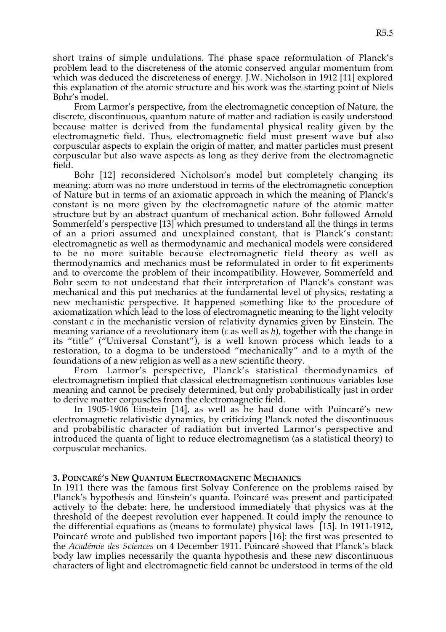short trains of simple undulations. The phase space reformulation of Planck's problem lead to the discreteness of the atomic conserved angular momentum from which was deduced the discreteness of energy. J.W. Nicholson in 1912 [11] explored this explanation of the atomic structure and his work was the starting point of Niels Bohr's model.

From Larmor's perspective, from the electromagnetic conception of Nature, the discrete, discontinuous, quantum nature of matter and radiation is easily understood because matter is derived from the fundamental physical reality given by the electromagnetic field. Thus, electromagnetic field must present wave but also corpuscular aspects to explain the origin of matter, and matter particles must present corpuscular but also wave aspects as long as they derive from the electromagnetic field.

Bohr [12] reconsidered Nicholson's model but completely changing its meaning: atom was no more understood in terms of the electromagnetic conception of Nature but in terms of an axiomatic approach in which the meaning of Planck's constant is no more given by the electromagnetic nature of the atomic matter structure but by an abstract quantum of mechanical action. Bohr followed Arnold Sommerfeld's perspective [13] which presumed to understand all the things in terms of an a priori assumed and unexplained constant, that is Planck's constant: electromagnetic as well as thermodynamic and mechanical models were considered to be no more suitable because electromagnetic field theory as well as thermodynamics and mechanics must be reformulated in order to fit experiments and to overcome the problem of their incompatibility. However, Sommerfeld and Bohr seem to not understand that their interpretation of Planck's constant was mechanical and this put mechanics at the fundamental level of physics, restating a new mechanistic perspective. It happened something like to the procedure of axiomatization which lead to the loss of electromagnetic meaning to the light velocity constant *c* in the mechanistic version of relativity dynamics given by Einstein. The meaning variance of a revolutionary item (*c* as well as *h*), together with the change in its "title" ("Universal Constant"), is a well known process which leads to a restoration, to a dogma to be understood "mechanically" and to a myth of the foundations of a new religion as well as a new scientific theory.

From Larmor's perspective, Planck's statistical thermodynamics of electromagnetism implied that classical electromagnetism continuous variables lose meaning and cannot be precisely determined, but only probabilistically just in order to derive matter corpuscles from the electromagnetic field.

In 1905-1906 Einstein [14], as well as he had done with Poincaré's new electromagnetic relativistic dynamics, by criticizing Planck noted the discontinuous and probabilistic character of radiation but inverted Larmor's perspective and introduced the quanta of light to reduce electromagnetism (as a statistical theory) to corpuscular mechanics.

## **3. POINCARÉ'S NEW QUANTUM ELECTROMAGNETIC MECHANICS**

In 1911 there was the famous first Solvay Conference on the problems raised by Planck's hypothesis and Einstein's quanta. Poincaré was present and participated actively to the debate: here, he understood immediately that physics was at the threshold of the deepest revolution ever happened. It could imply the renounce to the differential equations as (means to formulate) physical laws [15]. In 1911-1912, Poincaré wrote and published two important papers [16]: the first was presented to the *Académie des Sciences* on 4 December 1911. Poincaré showed that Planck's black body law implies necessarily the quanta hypothesis and these new discontinuous characters of light and electromagnetic field cannot be understood in terms of the old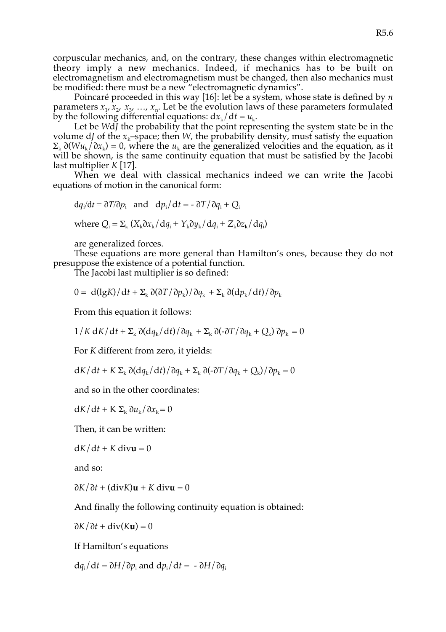corpuscular mechanics, and, on the contrary, these changes within electromagnetic theory imply a new mechanics. Indeed, if mechanics has to be built on electromagnetism and electromagnetism must be changed, then also mechanics must be modified: there must be a new "electromagnetic dynamics".

Poincaré proceeded in this way [16]: let be a system, whose state is defined by *n* parameters  $x_1, x_2, x_3, \ldots, x_n$ . Let be the evolution laws of these parameters formulated by the following differential equations:  $dx_k/dt = u_k$ .

Let be *W*d*J* the probability that the point representing the system state be in the volume d*J* of the  $x_k$ –space; then *W*, the probability density, must satisfy the equation  $\Sigma_k \partial (Wu_k/\partial x_k) = 0$ , where the *u*<sub>k</sub> are the generalized velocities and the equation, as it will be shown, is the same continuity equation that must be satisfied by the Jacobi last multiplier *K* [17].

When we deal with classical mechanics indeed we can write the Jacobi equations of motion in the canonical form:

$$
dq_i/dt = \frac{\partial T}{\partial p_i} \text{ and } dp_i/dt = -\frac{\partial T}{\partial q_i} + Q_i
$$
  
where  $Q_i = \sum_k (X_k \partial x_k / dq_i + Y_k \partial y_k / dq_i + Z_k \partial z_k / dq_i)$ 

are generalized forces.

These equations are more general than Hamilton's ones, because they do not presuppose the existence of a potential function.

The Jacobi last multiplier is so defined:

$$
0 = d(\lg K)/dt + \Sigma_k \partial (\partial T/\partial p_k)/\partial q_k + \Sigma_k \partial (dp_k/dt)/\partial p_k
$$

From this equation it follows:

 $1/K dK/dt + \Sigma_k \partial(dq_k/dt)/\partial q_k + \Sigma_k \partial(-\partial T/\partial q_k + Q_k) \partial p_k = 0$ 

For *K* different from zero, it yields:

 $dK/dt + K \Sigma_k \partial (dq_k/dt)/\partial q_k + \Sigma_k \partial (-\partial T/\partial q_k + Q_k)/\partial p_k = 0$ 

and so in the other coordinates:

 $dK/dt + K \Sigma_k \partial u_k / \partial x_k = 0$ 

Then, it can be written:

 $dK/dt + K$  divu = 0

and so:

∂*K*/∂*t* + (div*K*)**u** + *K* div**u** = 0

And finally the following continuity equation is obtained:

∂*K*/∂*t* + div(*K***u**) = 0

If Hamilton's equations

 $dq_i/dt = \partial H/\partial p_i$  and  $dp_i/dt = -\partial H/\partial q_i$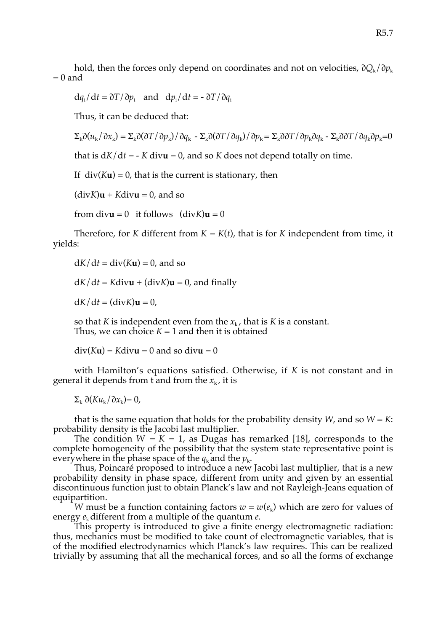hold, then the forces only depend on coordinates and not on velocities, ∂*Q*k/∂*p*<sup>k</sup>  $= 0$  and

 $dq_i/dt = \partial T/\partial p_i$  and  $dp_i/dt = -\partial T/\partial q_i$ 

Thus, it can be deduced that:

 $\Sigma_k \partial(u_k/\partial x_k) = \Sigma_k \partial(\partial T/\partial p_k)/\partial q_k - \Sigma_k \partial(\partial T/\partial q_k)/\partial p_k = \Sigma_k \partial \partial T/\partial p_k \partial q_k - \Sigma_k \partial \partial T/\partial q_k \partial p_k = 0$ 

that is  $dK/dt = -K$  div $u = 0$ , and so *K* does not depend totally on time.

If  $div(Ku) = 0$ , that is the current is stationary, then

 $(\text{div}K)\mathbf{u} + K\text{div}\mathbf{u} = 0$ , and so

from div $\mathbf{u} = 0$  it follows  $(\text{div}K)\mathbf{u} = 0$ 

Therefore, for *K* different from  $K = K(t)$ , that is for *K* independent from time, it yields:

 $dK/dt = \text{div}(Ku) = 0$ , and so

 $dK/dt = Kdiv**u** + (divK)**u** = 0$ , and finally

 $dK/dt = (divK)\mathbf{u} = 0$ ,

so that *K* is independent even from the  $x_k$ , that is *K* is a constant. Thus, we can choice  $K = 1$  and then it is obtained

 $div(Ku) = Kdivu = 0$  and so divu = 0

with Hamilton's equations satisfied. Otherwise, if *K* is not constant and in general it depends from t and from the  $x<sub>k</sub>$ , it is

 $\Sigma_k \partial (Ku_k/\partial x_k) = 0$ ,

that is the same equation that holds for the probability density *W*, and so  $W = K$ : probability density is the Jacobi last multiplier.

The condition  $W = K = 1$ , as Dugas has remarked [18], corresponds to the complete homogeneity of the possibility that the system state representative point is everywhere in the phase space of the  $q_k$  and the  $p_k$ .

Thus, Poincaré proposed to introduce a new Jacobi last multiplier, that is a new probability density in phase space, different from unity and given by an essential discontinuous function just to obtain Planck's law and not Rayleigh-Jeans equation of equipartition.

*W* must be a function containing factors  $w = w(e_k)$  which are zero for values of energy *e*k different from a multiple of the quantum *e*.

This property is introduced to give a finite energy electromagnetic radiation: thus, mechanics must be modified to take count of electromagnetic variables, that is of the modified electrodynamics which Planck's law requires. This can be realized trivially by assuming that all the mechanical forces, and so all the forms of exchange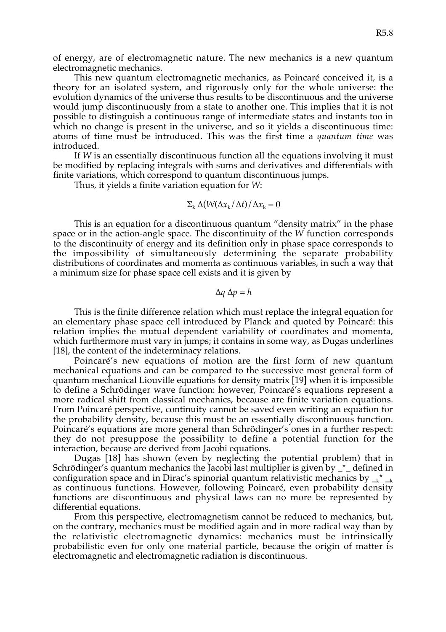of energy, are of electromagnetic nature. The new mechanics is a new quantum electromagnetic mechanics.

This new quantum electromagnetic mechanics, as Poincaré conceived it, is a theory for an isolated system, and rigorously only for the whole universe: the evolution dynamics of the universe thus results to be discontinuous and the universe would jump discontinuously from a state to another one. This implies that it is not possible to distinguish a continuous range of intermediate states and instants too in which no change is present in the universe, and so it yields a discontinuous time: atoms of time must be introduced. This was the first time a *quantum time* was introduced.

If *W* is an essentially discontinuous function all the equations involving it must be modified by replacing integrals with sums and derivatives and differentials with finite variations, which correspond to quantum discontinuous jumps.

Thus, it yields a finite variation equation for *W*:

$$
\Sigma_{\rm k} \Delta (W(\Delta x_{\rm k} / \Delta t) / \Delta x_{\rm k} = 0
$$

This is an equation for a discontinuous quantum "density matrix" in the phase space or in the action-angle space. The discontinuity of the *W* function corresponds to the discontinuity of energy and its definition only in phase space corresponds to the impossibility of simultaneously determining the separate probability distributions of coordinates and momenta as continuous variables, in such a way that a minimum size for phase space cell exists and it is given by

∆*q* ∆*p* = *h*

This is the finite difference relation which must replace the integral equation for an elementary phase space cell introduced by Planck and quoted by Poincaré: this relation implies the mutual dependent variability of coordinates and momenta, which furthermore must vary in jumps; it contains in some way, as Dugas underlines [18], the content of the indeterminacy relations.

Poincaré's new equations of motion are the first form of new quantum mechanical equations and can be compared to the successive most general form of quantum mechanical Liouville equations for density matrix [19] when it is impossible to define a Schrödinger wave function: however, Poincaré's equations represent a more radical shift from classical mechanics, because are finite variation equations. From Poincaré perspective, continuity cannot be saved even writing an equation for the probability density, because this must be an essentially discontinuous function. Poincaré's equations are more general than Schrödinger's ones in a further respect: they do not presuppose the possibility to define a potential function for the interaction, because are derived from Jacobi equations.

Dugas [18] has shown (even by neglecting the potential problem) that in Schrödinger's quantum mechanics the Jacobi last multiplier is given by \_\*\_ defined in configuration space and in Dirac's spinorial quantum relativistic mechanics by  $\mu^*_{k}$ as continuous functions. However, following Poincaré, even probability density functions are discontinuous and physical laws can no more be represented by differential equations.

From this perspective, electromagnetism cannot be reduced to mechanics, but, on the contrary, mechanics must be modified again and in more radical way than by the relativistic electromagnetic dynamics: mechanics must be intrinsically probabilistic even for only one material particle, because the origin of matter is electromagnetic and electromagnetic radiation is discontinuous.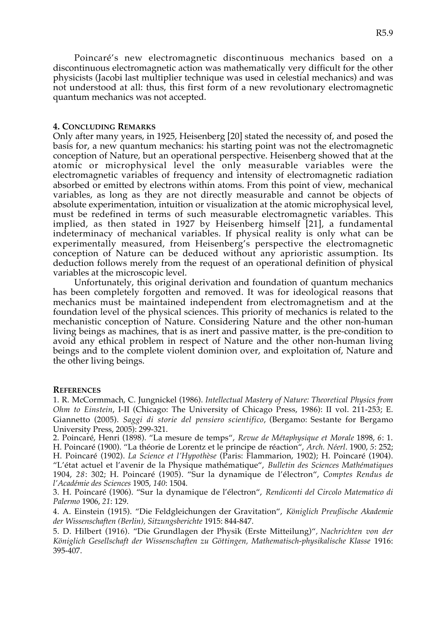Poincaré's new electromagnetic discontinuous mechanics based on a discontinuous electromagnetic action was mathematically very difficult for the other physicists (Jacobi last multiplier technique was used in celestial mechanics) and was not understood at all: thus, this first form of a new revolutionary electromagnetic quantum mechanics was not accepted.

## **4. CONCLUDING REMARKS**

Only after many years, in 1925, Heisenberg [20] stated the necessity of, and posed the basis for, a new quantum mechanics: his starting point was not the electromagnetic conception of Nature, but an operational perspective. Heisenberg showed that at the atomic or microphysical level the only measurable variables were the electromagnetic variables of frequency and intensity of electromagnetic radiation absorbed or emitted by electrons within atoms. From this point of view, mechanical variables, as long as they are not directly measurable and cannot be objects of absolute experimentation, intuition or visualization at the atomic microphysical level, must be redefined in terms of such measurable electromagnetic variables. This implied, as then stated in 1927 by Heisenberg himself [21], a fundamental indeterminacy of mechanical variables. If physical reality is only what can be experimentally measured, from Heisenberg's perspective the electromagnetic conception of Nature can be deduced without any aprioristic assumption. Its deduction follows merely from the request of an operational definition of physical variables at the microscopic level.

Unfortunately, this original derivation and foundation of quantum mechanics has been completely forgotten and removed. It was for ideological reasons that mechanics must be maintained independent from electromagnetism and at the foundation level of the physical sciences. This priority of mechanics is related to the mechanistic conception of Nature. Considering Nature and the other non-human living beings as machines, that is as inert and passive matter, is the pre-condition to avoid any ethical problem in respect of Nature and the other non-human living beings and to the complete violent dominion over, and exploitation of, Nature and the other living beings.

### **REFERENCES**

1. R. McCormmach, C. Jungnickel (1986). *Intellectual Mastery of Nature: Theoretical Physics from Ohm to Einstein*, I-II (Chicago: The University of Chicago Press, 1986): II vol. 211-253; E. Giannetto (2005). *Saggi di storie del pensiero scientifico*, (Bergamo: Sestante for Bergamo University Press, 2005): 299-321.

2. Poincaré, Henri (1898). "La mesure de temps", *Revue de Métaphysique et Morale* 1898, *6*: 1. H. Poincaré (1900). "La théorie de Lorentz et le principe de réaction", *Arch. Néerl*. 1900, *5*: 252; H. Poincaré (1902). *La Science et l'Hypothèse* (Paris: Flammarion, 1902); H. Poincaré (1904). "L'état actuel et l'avenir de la Physique mathématique", *Bulletin des Sciences Mathématiques* 1904, *28*: 302; H. Poincaré (1905). "Sur la dynamique de l'électron", *Comptes Rendus de l'Académie des Sciences* 1905, *140*: 1504.

3. H. Poincaré (1906). "Sur la dynamique de l'électron", *Rendiconti del Circolo Matematico di Palermo* 1906, *21*: 129.

4. A. Einstein (1915). "Die Feldgleichungen der Gravitation", *Königlich Preußische Akademie der Wissenschaften (Berlin), Sitzungsberichte* 1915: 844-847.

5. D. Hilbert (1916). "Die Grundlagen der Physik (Erste Mitteilung)"*, Nachrichten von der Königlich Gesellschaft der Wissenschaften zu Göttingen, Mathematisch-physikalische Klasse* 1916: 395-407.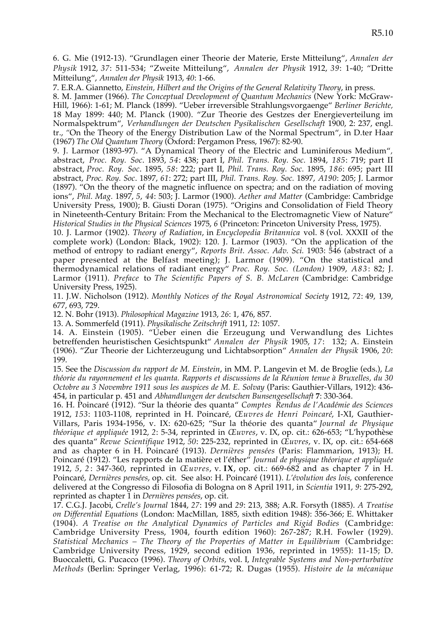6. G. Mie (1912-13). "Grundlagen einer Theorie der Materie, Erste Mitteilung", *Annalen der Physik* 1912, *37*: 511-534; "Zweite Mitteilung", *Annalen der Physik* 1912, *39*: 1-40; "Dritte Mitteilung", *Annalen der Physik* 1913, *40*: 1-66.

7. E.R.A. Giannetto, *Einstein, Hilbert and the Origins of the General Relativity Theory*, in press.

8. M. Jammer (1966). *The Conceptual Development of Quantum Mechanics* (New York: McGraw-Hill, 1966): 1-61; M. Planck (1899). "Ueber irreversible Strahlungsvorgaenge" *Berliner Berichte,* 18 May 1899: 440; M. Planck (1900). "Zur Theorie des Gestzes der Energieverteilung im Normalspektrum", *Verhandlungen der Deutschen Pysikalischen Gesellschaft* 1900, 2: 237, engl. tr., *"*On the Theory of the Energy Distribution Law of the Normal Spectrum", in D.ter Haar (1967) *The Old Quantum Theory* (Oxford: Pergamon Press, 1967): 82-90.

9. J. Larmor (1893-97). "A Dynamical Theory of the Electric and Luminiferous Medium"*,* abstract, *Proc. Roy. Soc*. 1893, *54*: 438; part I, *Phil. Trans. Roy. Soc.* 1894, *185*: 719; part II abstract, *Proc. Roy. Soc*. 1895, *58*: 222; part II, *Phil. Trans. Roy. Soc.* 1895, *186*: 695; part III abstract, *Proc. Roy. Soc*. 1897, *61*: 272; part III, *Phil. Trans. Roy. Soc.* 1897, *A190*: 205; J. Larmor (1897). "On the theory of the magnetic influence on spectra; and on the radiation of moving ions", *Phil. Mag.* 1897, *5*, *44*: 503; J. Larmor (1900). *Aether and Matter* (Cambridge: Cambridge University Press, 1900); B. Giusti Doran (1975). "Origins and Consolidation of Field Theory in Nineteenth-Century Britain: From the Mechanical to the Electromagnetic View of Nature" *Historical Studies in the Physical Sciences* 1975, *6* (Princeton: Princeton University Press, 1975).

10. J. Larmor (1902). *Theory of Radiation*, in *Encyclopedia Britannica* vol. 8 (vol. XXXII of the complete work) (London: Black, 1902): 120. J. Larmor (1903). "On the application of the method of entropy to radiant energy", *Reports Brit. Assoc. Adv. Sci.* 1903: 546 (abstract of a paper presented at the Belfast meeting); J. Larmor (1909). "On the statistical and thermodynamical relations of radiant energy" *Proc. Roy. Soc. (London)* 1909, *A83*: 82; J. Larmor (1911). *Preface* to *The Scientific Papers of S. B. McLaren* (Cambridge: Cambridge University Press, 1925).

11. J.W. Nicholson (1912). *Monthly Notices of the Royal Astronomical Society* 1912, *72*: 49, 139, 677, 693, 729.

12. N. Bohr (1913). *Philosophical Magazine* 1913, *26*: 1, 476, 857.

13. A. Sommerfeld (1911). *Physikalische Zeitschrift* 1911, *12*: 1057.

14. A. Einstein (1905). "Ueber einen die Erzeugung und Verwandlung des Lichtes betreffenden heuristischen Gesichtspunkt" *Annalen der Physik* 1905, *17*: 132; A. Einstein (1906). "Zur Theorie der Lichterzeugung und Lichtabsorption" *Annalen der Physik* 1906, *20*: 199.

15. See the *Discussion du rapport de M. Einstein*, in MM. P. Langevin et M. de Broglie (eds.), *La théorie du rayonnement et les quanta. Rapports et discussions de la Réunion tenue à Bruxelles, du 30 Octobre au 3 Novembre 1911 sous les auspices de M. E. Solvay* (Paris: Gauthier-Villars, 1912): 436- 454, in particular p. 451 and *Abhandlungen der deutschen Bunsengesellschaft* **7**: 330-364.

16. H. Poincaré (1912). "Sur la théorie des quanta" *Comptes Rendus de l'Académie des Sciences* 1912, *153*: 1103-1108, reprinted in H. Poincaré, *Œuvres de Henri Poincaré*, I-XI, Gauthier-Villars, Paris 1934-1956, v. IX: 620-625; "Sur la théorie des quanta" *Journal de Physique théorique et appliquée* 1912, *2*: 5-34, reprinted in *Œuvres*, v. IX, op. cit.: 626-653; "L'hypothèse des quanta" *Revue Scientifique* 1912, *50*: 225-232, reprinted in *Œuvres*, v. IX, op. cit.: 654-668 and as chapter 6 in H. Poincaré (1913). *Dernières pensées* (Paris: Flammarion, 1913); H. Poincaré (1912). "Les rapports de la matière et l'éther" *Journal de physique théorique et appliquée* 1912, *5*, *2* : 347-360, reprinted in *Œuvres*, v. **IX**, op. cit.: 669-682 and as chapter 7 in H. Poincaré, *Dernières pensées*, op. cit. See also: H. Poincaré (1911). *L'évolution des lois*, conference delivered at the Congresso di Filosofia di Bologna on 8 April 1911, in *Scientia* 1911, *9*: 275-292, reprinted as chapter 1 in *Dernières pensées*, op. cit.

17. C.G.J. Jacobi, *Crelle's Journal* 1844, *27*: 199 and *29*: 213, 388; A.R. Forsyth (1885). *A Treatise on Differential Equations* (London: MacMillan, 1885, sixth edition 1948): 356-366; E. Whittaker (1904). *A Treatise on the Analytical Dynamics of Particles and Rigid Bodies* (Cambridge: Cambridge University Press, 1904, fourth edition 1960): 267-287; R.H. Fowler (1929). *Statistical Mechanics – The Theory of the Properties of Matter in Equilibrium* (Cambridge: Cambridge University Press, 1929, second edition 1936, reprinted in 1955): 11-15; D. Buoccaletti, G. Pucacco (1996). *Theory of Orbits*, vol. I, *Integrable Systems and Non-perturbative Methods* (Berlin: Springer Verlag, 1996): 61-72; R. Dugas (1955). *Histoire de la mécanique*